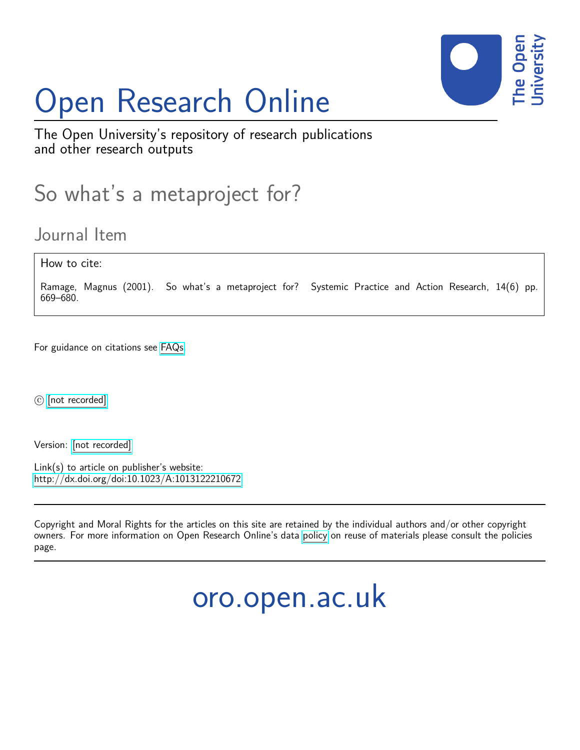# Open Research Online



The Open University's repository of research publications and other research outputs

## So what's a metaproject for?

## Journal Item

How to cite:

Ramage, Magnus (2001). So what's a metaproject for? Systemic Practice and Action Research, 14(6) pp. 669–680.

For guidance on citations see [FAQs.](http://oro.open.ac.uk/help/helpfaq.html)

c [\[not recorded\]](http://oro.open.ac.uk/help/helpfaq.html#Unrecorded_information_on_coversheet)

Version: [\[not recorded\]](http://oro.open.ac.uk/help/helpfaq.html#Unrecorded_information_on_coversheet)

Link(s) to article on publisher's website: <http://dx.doi.org/doi:10.1023/A:1013122210672>

Copyright and Moral Rights for the articles on this site are retained by the individual authors and/or other copyright owners. For more information on Open Research Online's data [policy](http://oro.open.ac.uk/policies.html) on reuse of materials please consult the policies page.

oro.open.ac.uk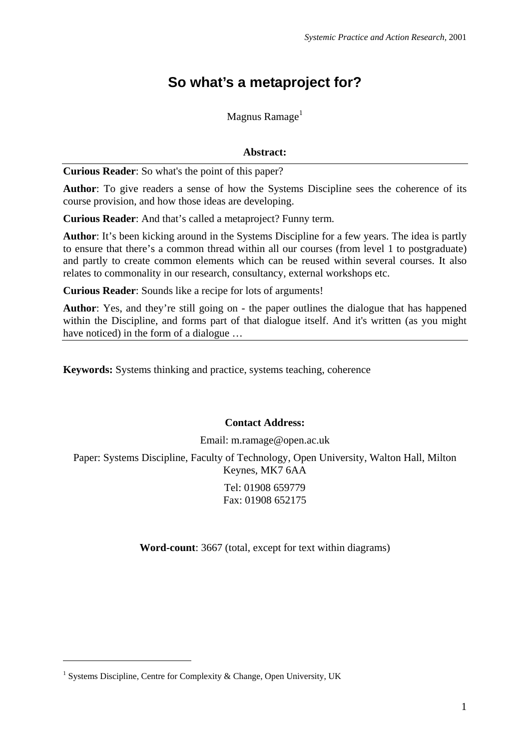## **So what's a metaproject for?**

Magnus Ramage $<sup>1</sup>$ </sup>

### **Abstract:**

**Curious Reader**: So what's the point of this paper?

**Author**: To give readers a sense of how the Systems Discipline sees the coherence of its course provision, and how those ideas are developing.

**Curious Reader**: And that's called a metaproject? Funny term.

**Author**: It's been kicking around in the Systems Discipline for a few years. The idea is partly to ensure that there's a common thread within all our courses (from level 1 to postgraduate) and partly to create common elements which can be reused within several courses. It also relates to commonality in our research, consultancy, external workshops etc.

**Curious Reader**: Sounds like a recipe for lots of arguments!

**Author**: Yes, and they're still going on - the paper outlines the dialogue that has happened within the Discipline, and forms part of that dialogue itself. And it's written (as you might have noticed) in the form of a dialogue …

**Keywords:** Systems thinking and practice, systems teaching, coherence

#### **Contact Address:**

Email: m.ramage@open.ac.uk

Paper: Systems Discipline, Faculty of Technology, Open University, Walton Hall, Milton Keynes, MK7 6AA

> Tel: 01908 659779 Fax: 01908 652175

**Word-count**: 3667 (total, except for text within diagrams)

1

<sup>&</sup>lt;sup>1</sup> Systems Discipline, Centre for Complexity & Change, Open University, UK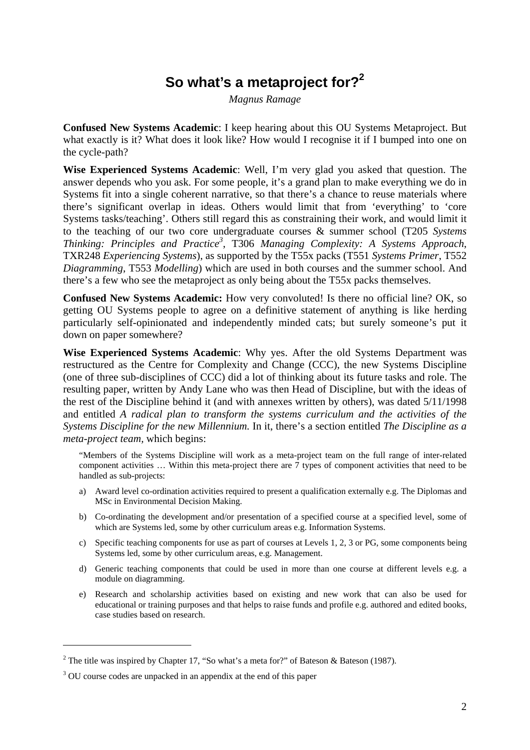## **So what's a metaproject for?2**

*Magnus Ramage* 

**Confused New Systems Academic**: I keep hearing about this OU Systems Metaproject. But what exactly is it? What does it look like? How would I recognise it if I bumped into one on the cycle-path?

**Wise Experienced Systems Academic**: Well, I'm very glad you asked that question. The answer depends who you ask. For some people, it's a grand plan to make everything we do in Systems fit into a single coherent narrative, so that there's a chance to reuse materials where there's significant overlap in ideas. Others would limit that from 'everything' to 'core Systems tasks/teaching'. Others still regard this as constraining their work, and would limit it to the teaching of our two core undergraduate courses & summer school (T205 *Systems Thinking: Principles and Practice3* , T306 *Managing Complexity: A Systems Approach*, TXR248 *Experiencing Systems*), as supported by the T55x packs (T551 *Systems Primer*, T552 *Diagramming*, T553 *Modelling*) which are used in both courses and the summer school. And there's a few who see the metaproject as only being about the T55x packs themselves.

**Confused New Systems Academic:** How very convoluted! Is there no official line? OK, so getting OU Systems people to agree on a definitive statement of anything is like herding particularly self-opinionated and independently minded cats; but surely someone's put it down on paper somewhere?

**Wise Experienced Systems Academic**: Why yes. After the old Systems Department was restructured as the Centre for Complexity and Change (CCC), the new Systems Discipline (one of three sub-disciplines of CCC) did a lot of thinking about its future tasks and role. The resulting paper, written by Andy Lane who was then Head of Discipline, but with the ideas of the rest of the Discipline behind it (and with annexes written by others), was dated 5/11/1998 and entitled *A radical plan to transform the systems curriculum and the activities of the Systems Discipline for the new Millennium.* In it, there's a section entitled *The Discipline as a meta-project team,* which begins:

"Members of the Systems Discipline will work as a meta-project team on the full range of inter-related component activities ... Within this meta-project there are  $\overline{7}$  types of component activities that need to be handled as sub-projects:

- a) Award level co-ordination activities required to present a qualification externally e.g. The Diplomas and MSc in Environmental Decision Making.
- b) Co-ordinating the development and/or presentation of a specified course at a specified level, some of which are Systems led, some by other curriculum areas e.g. Information Systems.
- c) Specific teaching components for use as part of courses at Levels 1, 2, 3 or PG, some components being Systems led, some by other curriculum areas, e.g. Management.
- d) Generic teaching components that could be used in more than one course at different levels e.g. a module on diagramming.
- e) Research and scholarship activities based on existing and new work that can also be used for educational or training purposes and that helps to raise funds and profile e.g. authored and edited books, case studies based on research.

<u>.</u>

<sup>&</sup>lt;sup>2</sup> The title was inspired by Chapter 17, "So what's a meta for?" of Bateson & Bateson (1987).

<sup>&</sup>lt;sup>3</sup> OU course codes are unpacked in an appendix at the end of this paper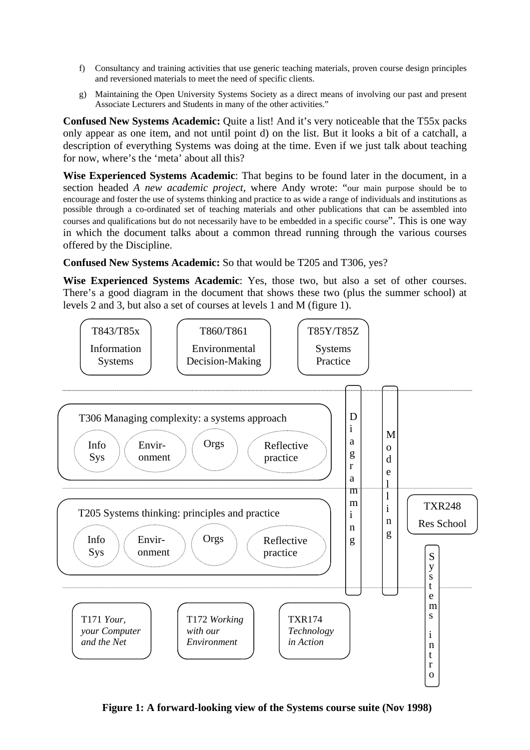- f) Consultancy and training activities that use generic teaching materials, proven course design principles and reversioned materials to meet the need of specific clients.
- g) Maintaining the Open University Systems Society as a direct means of involving our past and present Associate Lecturers and Students in many of the other activities."

**Confused New Systems Academic:** Quite a list! And it's very noticeable that the T55x packs only appear as one item, and not until point d) on the list. But it looks a bit of a catchall, a description of everything Systems was doing at the time. Even if we just talk about teaching for now, where's the 'meta' about all this?

**Wise Experienced Systems Academic**: That begins to be found later in the document, in a section headed *A new academic project*, where Andy wrote: "our main purpose should be to encourage and foster the use of systems thinking and practice to as wide a range of individuals and institutions as possible through a co-ordinated set of teaching materials and other publications that can be assembled into courses and qualifications but do not necessarily have to be embedded in a specific course". This is one way in which the document talks about a common thread running through the various courses offered by the Discipline.

## **Confused New Systems Academic:** So that would be T205 and T306, yes?

**Wise Experienced Systems Academic**: Yes, those two, but also a set of other courses. There's a good diagram in the document that shows these two (plus the summer school) at levels 2 and 3, but also a set of courses at levels 1 and M (figure 1).



**Figure 1: A forward-looking view of the Systems course suite (Nov 1998)**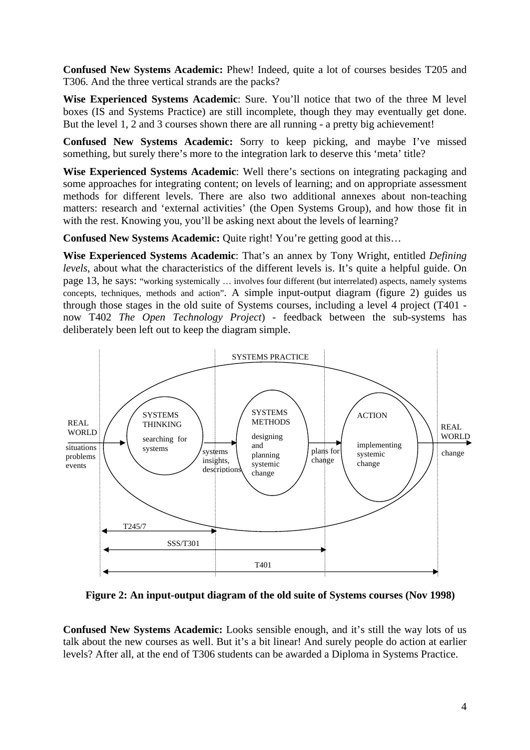**Confused New Systems Academic:** Phew! Indeed, quite a lot of courses besides T205 and T306. And the three vertical strands are the packs?

**Wise Experienced Systems Academic**: Sure. You'll notice that two of the three M level boxes (IS and Systems Practice) are still incomplete, though they may eventually get done. But the level 1, 2 and 3 courses shown there are all running - a pretty big achievement!

**Confused New Systems Academic:** Sorry to keep picking, and maybe I've missed something, but surely there's more to the integration lark to deserve this 'meta' title?

**Wise Experienced Systems Academic**: Well there's sections on integrating packaging and some approaches for integrating content; on levels of learning; and on appropriate assessment methods for different levels. There are also two additional annexes about non-teaching matters: research and 'external activities' (the Open Systems Group), and how those fit in with the rest. Knowing you, you'll be asking next about the levels of learning?

**Confused New Systems Academic:** Quite right! You're getting good at this...

**Wise Experienced Systems Academic**: That's an annex by Tony Wright, entitled *Defining levels*, about what the characteristics of the different levels is. It's quite a helpful guide. On page 13, he says: "working systemically … involves four different (but interrelated) aspects, namely systems concepts, techniques, methods and action". A simple input-output diagram (figure 2) guides us through those stages in the old suite of Systems courses, including a level 4 project (T401 now T402 *The Open Technology Project*) - feedback between the sub-systems has deliberately been left out to keep the diagram simple.



**Figure 2: An input-output diagram of the old suite of Systems courses (Nov 1998)** 

**Confused New Systems Academic:** Looks sensible enough, and it's still the way lots of us talk about the new courses as well. But it's a bit linear! And surely people do action at earlier levels? After all, at the end of T306 students can be awarded a Diploma in Systems Practice.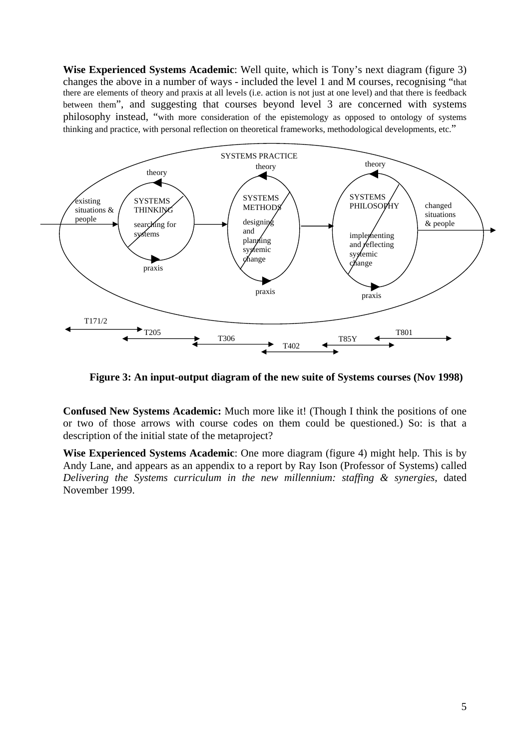**Wise Experienced Systems Academic**: Well quite, which is Tony's next diagram (figure 3) changes the above in a number of ways - included the level 1 and M courses, recognising "that there are elements of theory and praxis at all levels (i.e. action is not just at one level) and that there is feedback between them", and suggesting that courses beyond level 3 are concerned with systems philosophy instead, "with more consideration of the epistemology as opposed to ontology of systems thinking and practice, with personal reflection on theoretical frameworks, methodological developments, etc."



**Figure 3: An input-output diagram of the new suite of Systems courses (Nov 1998)** 

**Confused New Systems Academic:** Much more like it! (Though I think the positions of one or two of those arrows with course codes on them could be questioned.) So: is that a description of the initial state of the metaproject?

**Wise Experienced Systems Academic**: One more diagram (figure 4) might help. This is by Andy Lane, and appears as an appendix to a report by Ray Ison (Professor of Systems) called *Delivering the Systems curriculum in the new millennium: staffing & synergies*, dated November 1999.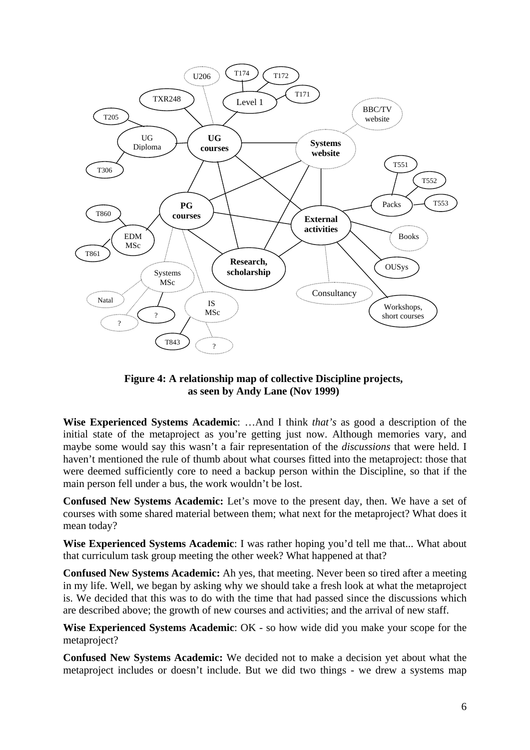

**Figure 4: A relationship map of collective Discipline projects, as seen by Andy Lane (Nov 1999)** 

**Wise Experienced Systems Academic**: …And I think *that's* as good a description of the initial state of the metaproject as you're getting just now. Although memories vary, and maybe some would say this wasn't a fair representation of the *discussions* that were held. I haven't mentioned the rule of thumb about what courses fitted into the metaproject: those that were deemed sufficiently core to need a backup person within the Discipline, so that if the main person fell under a bus, the work wouldn't be lost.

**Confused New Systems Academic:** Let's move to the present day, then. We have a set of courses with some shared material between them; what next for the metaproject? What does it mean today?

**Wise Experienced Systems Academic**: I was rather hoping you'd tell me that... What about that curriculum task group meeting the other week? What happened at that?

**Confused New Systems Academic:** Ah yes, that meeting. Never been so tired after a meeting in my life. Well, we began by asking why we should take a fresh look at what the metaproject is. We decided that this was to do with the time that had passed since the discussions which are described above; the growth of new courses and activities; and the arrival of new staff.

**Wise Experienced Systems Academic**: OK - so how wide did you make your scope for the metaproject?

**Confused New Systems Academic:** We decided not to make a decision yet about what the metaproject includes or doesn't include. But we did two things - we drew a systems map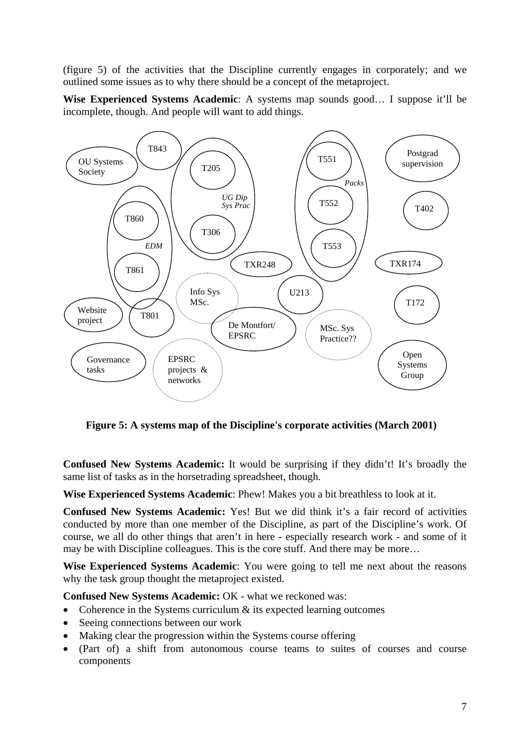(figure 5) of the activities that the Discipline currently engages in corporately; and we outlined some issues as to why there should be a concept of the metaproject.

**Wise Experienced Systems Academic**: A systems map sounds good… I suppose it'll be incomplete, though. And people will want to add things.



**Figure 5: A systems map of the Discipline's corporate activities (March 2001)** 

**Confused New Systems Academic:** It would be surprising if they didn't! It's broadly the same list of tasks as in the horsetrading spreadsheet, though.

**Wise Experienced Systems Academic**: Phew! Makes you a bit breathless to look at it.

**Confused New Systems Academic:** Yes! But we did think it's a fair record of activities conducted by more than one member of the Discipline, as part of the Discipline's work. Of course, we all do other things that aren't in here - especially research work - and some of it may be with Discipline colleagues. This is the core stuff. And there may be more…

**Wise Experienced Systems Academic**: You were going to tell me next about the reasons why the task group thought the metaproject existed.

**Confused New Systems Academic:** OK - what we reckoned was:

- Coherence in the Systems curriculum  $\&$  its expected learning outcomes
- Seeing connections between our work
- Making clear the progression within the Systems course offering
- (Part of) a shift from autonomous course teams to suites of courses and course components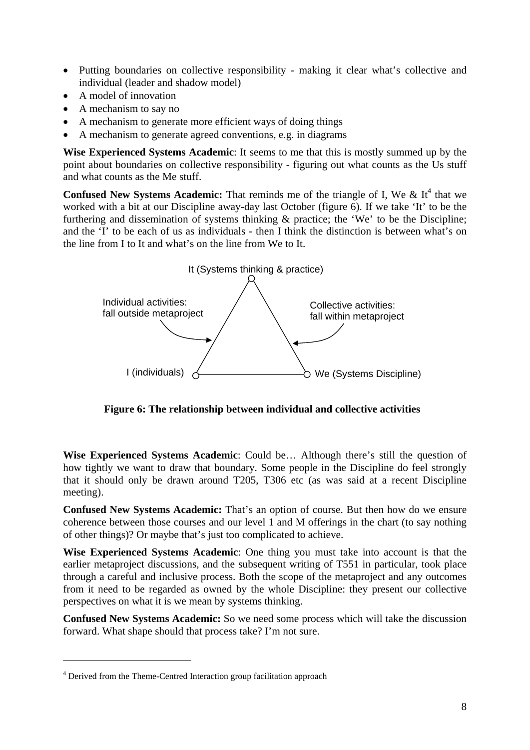- Putting boundaries on collective responsibility making it clear what's collective and individual (leader and shadow model)
- A model of innovation
- A mechanism to say no
- A mechanism to generate more efficient ways of doing things
- A mechanism to generate agreed conventions, e.g. in diagrams

**Wise Experienced Systems Academic**: It seems to me that this is mostly summed up by the point about boundaries on collective responsibility - figuring out what counts as the Us stuff and what counts as the Me stuff.

**Confused New Systems Academic:** That reminds me of the triangle of I, We  $\&$  It<sup>4</sup> that we worked with a bit at our Discipline away-day last October (figure 6). If we take 'It' to be the furthering and dissemination of systems thinking & practice; the 'We' to be the Discipline; and the 'I' to be each of us as individuals - then I think the distinction is between what's on the line from I to It and what's on the line from We to It.



**Figure 6: The relationship between individual and collective activities** 

**Wise Experienced Systems Academic**: Could be… Although there's still the question of how tightly we want to draw that boundary. Some people in the Discipline do feel strongly that it should only be drawn around T205, T306 etc (as was said at a recent Discipline meeting).

**Confused New Systems Academic:** That's an option of course. But then how do we ensure coherence between those courses and our level 1 and M offerings in the chart (to say nothing of other things)? Or maybe that's just too complicated to achieve.

**Wise Experienced Systems Academic**: One thing you must take into account is that the earlier metaproject discussions, and the subsequent writing of T551 in particular, took place through a careful and inclusive process. Both the scope of the metaproject and any outcomes from it need to be regarded as owned by the whole Discipline: they present our collective perspectives on what it is we mean by systems thinking.

**Confused New Systems Academic:** So we need some process which will take the discussion forward. What shape should that process take? I'm not sure.

1

<sup>&</sup>lt;sup>4</sup> Derived from the Theme-Centred Interaction group facilitation approach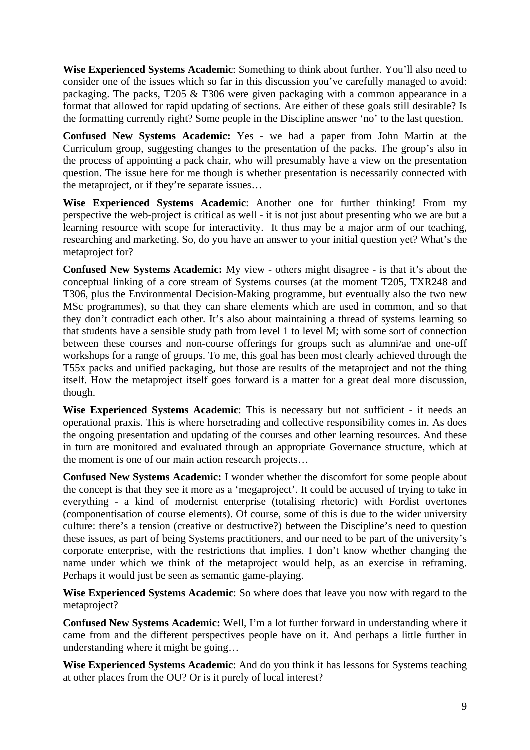**Wise Experienced Systems Academic**: Something to think about further. You'll also need to consider one of the issues which so far in this discussion you've carefully managed to avoid: packaging. The packs, T205 & T306 were given packaging with a common appearance in a format that allowed for rapid updating of sections. Are either of these goals still desirable? Is the formatting currently right? Some people in the Discipline answer 'no' to the last question.

**Confused New Systems Academic:** Yes - we had a paper from John Martin at the Curriculum group, suggesting changes to the presentation of the packs. The group's also in the process of appointing a pack chair, who will presumably have a view on the presentation question. The issue here for me though is whether presentation is necessarily connected with the metaproject, or if they're separate issues…

**Wise Experienced Systems Academic**: Another one for further thinking! From my perspective the web-project is critical as well - it is not just about presenting who we are but a learning resource with scope for interactivity. It thus may be a major arm of our teaching, researching and marketing. So, do you have an answer to your initial question yet? What's the metaproject for?

**Confused New Systems Academic:** My view - others might disagree - is that it's about the conceptual linking of a core stream of Systems courses (at the moment T205, TXR248 and T306, plus the Environmental Decision-Making programme, but eventually also the two new MSc programmes), so that they can share elements which are used in common, and so that they don't contradict each other. It's also about maintaining a thread of systems learning so that students have a sensible study path from level 1 to level M; with some sort of connection between these courses and non-course offerings for groups such as alumni/ae and one-off workshops for a range of groups. To me, this goal has been most clearly achieved through the T55x packs and unified packaging, but those are results of the metaproject and not the thing itself. How the metaproject itself goes forward is a matter for a great deal more discussion, though.

**Wise Experienced Systems Academic**: This is necessary but not sufficient - it needs an operational praxis. This is where horsetrading and collective responsibility comes in. As does the ongoing presentation and updating of the courses and other learning resources. And these in turn are monitored and evaluated through an appropriate Governance structure, which at the moment is one of our main action research projects…

**Confused New Systems Academic:** I wonder whether the discomfort for some people about the concept is that they see it more as a 'megaproject'. It could be accused of trying to take in everything - a kind of modernist enterprise (totalising rhetoric) with Fordist overtones (componentisation of course elements). Of course, some of this is due to the wider university culture: there's a tension (creative or destructive?) between the Discipline's need to question these issues, as part of being Systems practitioners, and our need to be part of the university's corporate enterprise, with the restrictions that implies. I don't know whether changing the name under which we think of the metaproject would help, as an exercise in reframing. Perhaps it would just be seen as semantic game-playing.

**Wise Experienced Systems Academic**: So where does that leave you now with regard to the metaproject?

**Confused New Systems Academic:** Well, I'm a lot further forward in understanding where it came from and the different perspectives people have on it. And perhaps a little further in understanding where it might be going…

**Wise Experienced Systems Academic**: And do you think it has lessons for Systems teaching at other places from the OU? Or is it purely of local interest?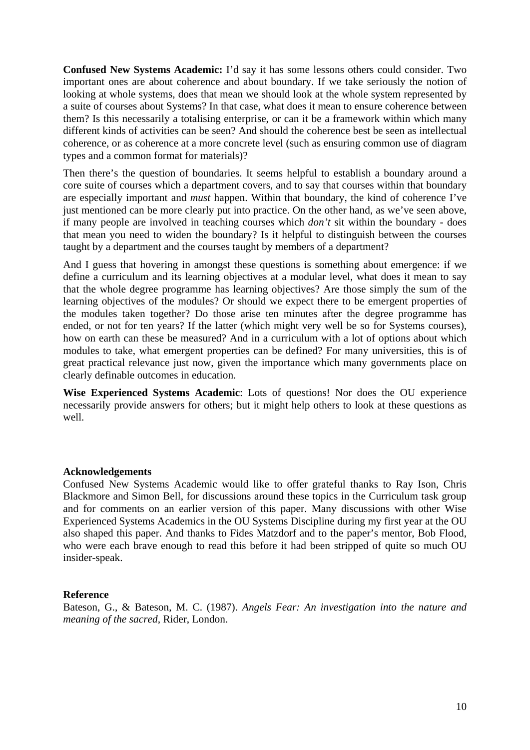**Confused New Systems Academic:** I'd say it has some lessons others could consider. Two important ones are about coherence and about boundary. If we take seriously the notion of looking at whole systems, does that mean we should look at the whole system represented by a suite of courses about Systems? In that case, what does it mean to ensure coherence between them? Is this necessarily a totalising enterprise, or can it be a framework within which many different kinds of activities can be seen? And should the coherence best be seen as intellectual coherence, or as coherence at a more concrete level (such as ensuring common use of diagram types and a common format for materials)?

Then there's the question of boundaries. It seems helpful to establish a boundary around a core suite of courses which a department covers, and to say that courses within that boundary are especially important and *must* happen. Within that boundary, the kind of coherence I've just mentioned can be more clearly put into practice. On the other hand, as we've seen above, if many people are involved in teaching courses which *don't* sit within the boundary - does that mean you need to widen the boundary? Is it helpful to distinguish between the courses taught by a department and the courses taught by members of a department?

And I guess that hovering in amongst these questions is something about emergence: if we define a curriculum and its learning objectives at a modular level, what does it mean to say that the whole degree programme has learning objectives? Are those simply the sum of the learning objectives of the modules? Or should we expect there to be emergent properties of the modules taken together? Do those arise ten minutes after the degree programme has ended, or not for ten years? If the latter (which might very well be so for Systems courses), how on earth can these be measured? And in a curriculum with a lot of options about which modules to take, what emergent properties can be defined? For many universities, this is of great practical relevance just now, given the importance which many governments place on clearly definable outcomes in education.

**Wise Experienced Systems Academic**: Lots of questions! Nor does the OU experience necessarily provide answers for others; but it might help others to look at these questions as well.

#### **Acknowledgements**

Confused New Systems Academic would like to offer grateful thanks to Ray Ison, Chris Blackmore and Simon Bell, for discussions around these topics in the Curriculum task group and for comments on an earlier version of this paper. Many discussions with other Wise Experienced Systems Academics in the OU Systems Discipline during my first year at the OU also shaped this paper. And thanks to Fides Matzdorf and to the paper's mentor, Bob Flood, who were each brave enough to read this before it had been stripped of quite so much OU insider-speak.

#### **Reference**

Bateson, G., & Bateson, M. C. (1987). *Angels Fear: An investigation into the nature and meaning of the sacred,* Rider, London.